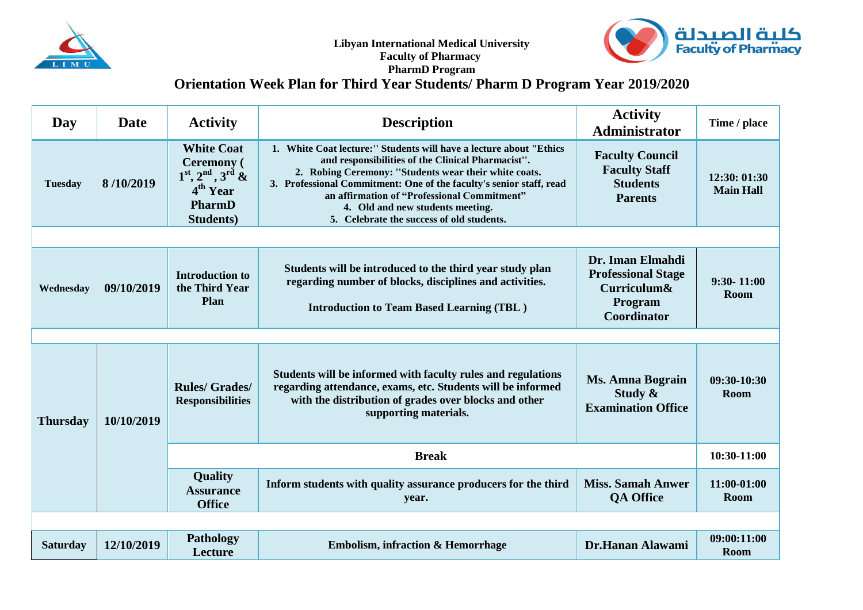



## **PharmD Program Orientation Week Plan for Third Year Students/ Pharm D Program Year 2019/2020**

| Day             | <b>Date</b> | <b>Activity</b>                                                                                                                   | <b>Description</b>                                                                                                                                                                                                                                                                                                                                                                      | <b>Activity</b><br><b>Administrator</b>                                                       | Time / place                     |
|-----------------|-------------|-----------------------------------------------------------------------------------------------------------------------------------|-----------------------------------------------------------------------------------------------------------------------------------------------------------------------------------------------------------------------------------------------------------------------------------------------------------------------------------------------------------------------------------------|-----------------------------------------------------------------------------------------------|----------------------------------|
| <b>Tuesday</b>  | 8/10/2019   | <b>White Coat</b><br><b>Ceremony</b> (<br>$1^{st}$ , $2^{nd}$ , $3^{rd}$ &<br>4 <sup>th</sup> Year<br>PharmD<br><b>Students</b> ) | 1. White Coat lecture:" Students will have a lecture about "Ethics<br>and responsibilities of the Clinical Pharmacist".<br>2. Robing Ceremony: "Students wear their white coats.<br>3. Professional Commitment: One of the faculty's senior staff, read<br>an affirmation of "Professional Commitment"<br>4. Old and new students meeting.<br>5. Celebrate the success of old students. | <b>Faculty Council</b><br><b>Faculty Staff</b><br><b>Students</b><br><b>Parents</b>           | 12:30: 01:30<br><b>Main Hall</b> |
|                 |             |                                                                                                                                   |                                                                                                                                                                                                                                                                                                                                                                                         |                                                                                               |                                  |
| Wednesday       | 09/10/2019  | <b>Introduction to</b><br>the Third Year<br>Plan                                                                                  | Students will be introduced to the third year study plan<br>regarding number of blocks, disciplines and activities.<br><b>Introduction to Team Based Learning (TBL)</b>                                                                                                                                                                                                                 | Dr. Iman Elmahdi<br><b>Professional Stage</b><br>Curriculum&<br>Program<br><b>Coordinator</b> | $9:30 - 11:00$<br>Room           |
|                 |             |                                                                                                                                   |                                                                                                                                                                                                                                                                                                                                                                                         |                                                                                               |                                  |
| <b>Thursday</b> | 10/10/2019  | <b>Rules/Grades/</b><br><b>Responsibilities</b>                                                                                   | Students will be informed with faculty rules and regulations<br>regarding attendance, exams, etc. Students will be informed<br>with the distribution of grades over blocks and other<br>supporting materials.                                                                                                                                                                           | <b>Ms. Amna Bograin</b><br>Study &<br><b>Examination Office</b>                               | 09:30-10:30<br>Room              |
|                 |             |                                                                                                                                   | <b>Break</b>                                                                                                                                                                                                                                                                                                                                                                            |                                                                                               | 10:30-11:00                      |
|                 |             | <b>Quality</b><br><b>Assurance</b><br><b>Office</b>                                                                               | Inform students with quality assurance producers for the third<br>year.                                                                                                                                                                                                                                                                                                                 | <b>Miss. Samah Anwer</b><br><b>QA Office</b>                                                  | 11:00-01:00<br>Room              |
|                 |             |                                                                                                                                   |                                                                                                                                                                                                                                                                                                                                                                                         |                                                                                               |                                  |
| <b>Saturday</b> | 12/10/2019  | <b>Pathology</b><br>Lecture                                                                                                       | <b>Embolism, infraction &amp; Hemorrhage</b>                                                                                                                                                                                                                                                                                                                                            | Dr.Hanan Alawami                                                                              | 09:00:11:00<br>Room              |